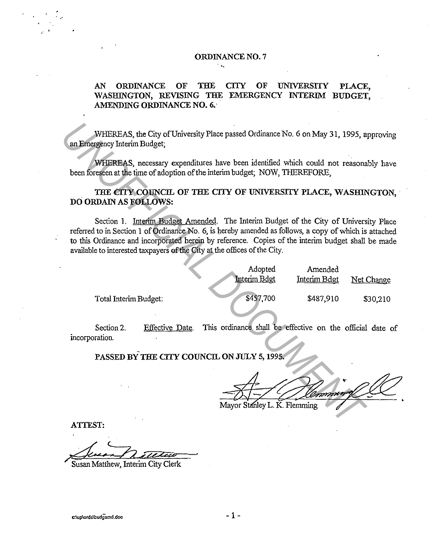#### ORDINANCE NO. 7

### AN ORDINANCE OF THE CITY OF UNIVERSITY PLACE, WASHINGTON, REVISING THE EMERGENCY INTERIM BUDGET. AMENDING ORDINANCE NO. 6.

### THE CITY COUNCIL OF THE CITY OF UNIVERSITY PLACE, WASHINGTON, DO ORDAIN AS FOLLOWS:

| WHEREAS, the City of University Place passed Ordinance No. 6 on May 31, 1995, approving<br>an Emergency Interim Budget;                                                                                                                                                                                                                                                            |                 |                                                          |                         |            |
|------------------------------------------------------------------------------------------------------------------------------------------------------------------------------------------------------------------------------------------------------------------------------------------------------------------------------------------------------------------------------------|-----------------|----------------------------------------------------------|-------------------------|------------|
| WHEREAS, necessary expenditures have been identified which could not reasonably have<br>been foreseen at the time of adoption of the interim budget; NOW, THEREFORE,                                                                                                                                                                                                               |                 |                                                          |                         |            |
| THE CITY COUNCIL OF THE CITY OF UNIVERSITY PLACE, WASHINGTON<br>DO ORDAIN AS FOLLOWS:                                                                                                                                                                                                                                                                                              |                 |                                                          |                         |            |
| Section 1. Interim Budget Amended. The Interim Budget of the City of University Place<br>referred to in Section 1 of Ordinance No. 6, is hereby amended as follows, a copy of which is attached<br>to this Ordinance and incorporated herein by reference. Copies of the interim budget shall be made<br>available to interested taxpayers of the City at the offices of the City. |                 |                                                          |                         |            |
|                                                                                                                                                                                                                                                                                                                                                                                    |                 | Adopted<br>Interim Bdgt                                  | Amended<br>Interim Bdgt | Net Change |
| Total Interim Budget:                                                                                                                                                                                                                                                                                                                                                              |                 | \$457,700                                                | \$487,910               | \$30,210   |
| Section 2.<br>incorporation.                                                                                                                                                                                                                                                                                                                                                       | Effective Date. | This ordinance shall be effective on the official date o |                         |            |
| PASSED BY THE CITY COUNCIL ON JULY 5, 1995.                                                                                                                                                                                                                                                                                                                                        |                 |                                                          |                         |            |
|                                                                                                                                                                                                                                                                                                                                                                                    |                 |                                                          | foundation              |            |
|                                                                                                                                                                                                                                                                                                                                                                                    |                 | Mayor Stanley L. K. Flemming                             |                         |            |
| ATTEST:                                                                                                                                                                                                                                                                                                                                                                            |                 |                                                          |                         |            |

ATTEST:

..

Susan Matthew, Interim City Clerk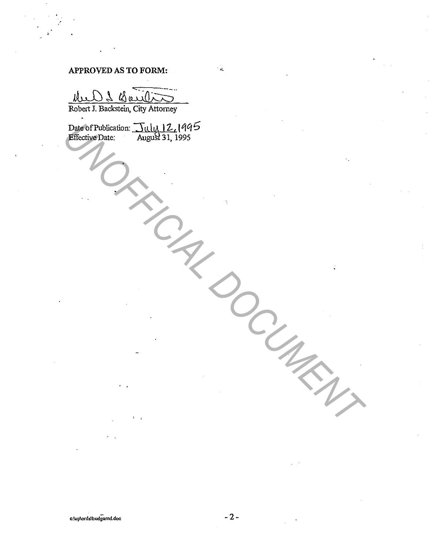# APPROVED AS TO FORM:

M. - L'A  $10<sub>1</sub>$ 

Robert J. Backstein, City Attorney

Date of Publication: Tuly 12, 1995<br>Effective Date: August 31, 1995

 $\mathcal{L}_{\mathbf{K}}$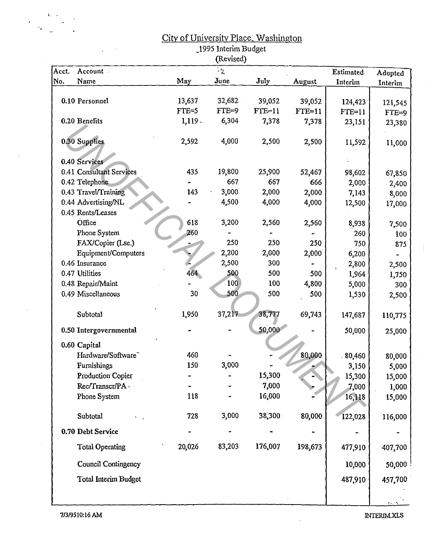## City of University Place, Washington

\_1995 Interim Budget

|       |                                |         | (Revised)       |          |          |           |                |
|-------|--------------------------------|---------|-----------------|----------|----------|-----------|----------------|
| Acct. | Account -                      |         | $\mathcal{I}_2$ |          |          | Estimated | Adopted        |
| No.   | Name                           | May     | June            | July     | August   | Interim   | Interim        |
|       |                                |         |                 |          |          |           |                |
|       | 0.10 Personnel                 | 13,637  | 32,682          | 39,052   | 39,052   | 124,423   | 121,545        |
|       |                                | $TTE=5$ | $FTE=9$         | $FTE=11$ | $FTE=11$ | $FTE=11$  | $FTE=9$        |
|       | 0.20 Benefits                  | 1,119   | 6,304           | 7,378    | 7,378    | 23,151    | 23,380         |
|       | 0.30 Supplies                  | 2,592   | 4,000           | 2,500    | 2,500    | 11,592    | 11,000         |
|       | 0.40 Services                  |         |                 |          |          |           |                |
|       | 0.41 Consultant Services       | 435     | 19,800          | 25,900   | 52,467   | 98,602    |                |
|       | 0.42 Telephone                 |         | 667             | 667      | 666      |           | 67,850         |
|       | 0.43 Travel/Training           | 143     | 3,000           | 2,000    | 2,000    | 2,000     | 2,400          |
|       | 0.44 Advertising/NL            |         | 4,500           | 4,000    | 4,000    | 7,143     | 8,000          |
|       | 0.45 Rents/Leases              |         |                 |          |          | 12,500    | 17,000         |
|       | Office                         | 618     | 3,200           | 2,560    | 2,560    | 8,938     |                |
|       | Phone System                   | 260     |                 |          |          | 260       | 7,500          |
|       | FAX/Copier (Lse.)              |         | 250             | 250      | 250      | 750       | 100            |
|       | Equipment/Computers            |         | 2,200           | 2,000    | 2,000    | 6,200     | 875            |
|       | 0.46 Insurance                 |         | 2,500           | 300      |          | 2,800     |                |
|       | 0.47 Utilities                 | 464     | 500             | 500      | 500      | 1,964     | 2,500<br>1,750 |
|       | 0.48 Repair/Maint              |         | 100             | 100      | 4,800    | 5,000     | 300            |
|       | 0.49 Miscellaneous             | 30      | 500             | 500      | 500      | 1,530     | 2,500          |
|       |                                |         |                 |          |          |           |                |
|       | Subtotal                       | 1,950   | 37,217          | 38,777   | 69,743   | 147,687   | 110,775        |
|       | 0.50 Intergovernmental         |         |                 | 50,000   |          | 50,000    | 25,000         |
|       | 0.60 Capital                   |         |                 |          |          |           |                |
|       | Hardware/Software <sup>-</sup> | 460     |                 |          | 80,000   | .80,460   | 80,000         |
|       | Furnishings                    | 150     | 3,000           |          |          | 3,150     | 5,000          |
|       | Production Copier              |         |                 | 15,300   |          | 15,300    | 15,000         |
|       | Rec/Transcr/PA                 |         |                 | 7,000    |          | 7,000     | 1,000          |
|       | Phone System                   | 118     |                 | 16,000   |          | 16,118    | 15,000         |
|       | Subtotal                       | 728     | 3,000           | 38,300   | 80,000   | 122,028   | 116,000        |
|       | 0.70 Debt Service              |         |                 |          |          |           |                |
|       | <b>Total Operating</b>         | 20,026  | 83,203          | 176,007  | 198,673  | 477,910   | 407,700        |
|       | <b>Council Contingency</b>     |         |                 |          |          | 10,000    | 50,000         |
|       |                                |         |                 |          |          |           |                |
|       | <b>Total Interim Budget</b>    |         |                 |          |          | 487,910   | 457,700        |
|       |                                |         |                 |          |          |           |                |
|       |                                |         |                 |          |          |           |                |

,, .

٠.

 $\frac{1}{2}$